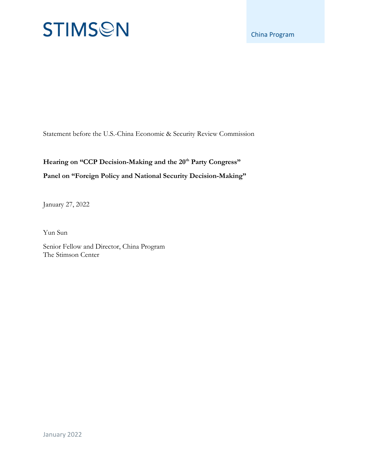# **STIMSON**

Statement before the U.S.-China Economic & Security Review Commission

### Hearing on "CCP Decision-Making and the 20<sup>th</sup> Party Congress" **Panel on "Foreign Policy and National Security Decision-Making"**

January 27, 2022

Yun Sun

Senior Fellow and Director, China Program The Stimson Center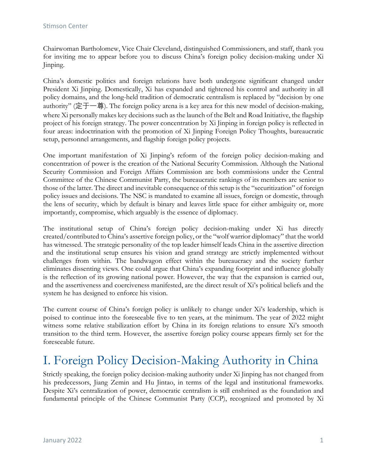Chairwoman Bartholomew, Vice Chair Cleveland, distinguished Commissioners, and staff, thank you for inviting me to appear before you to discuss China's foreign policy decision-making under Xi Jinping.

China's domestic politics and foreign relations have both undergone significant changed under President Xi Jinping. Domestically, Xi has expanded and tightened his control and authority in all policy domains, and the long-held tradition of democratic centralism is replaced by "decision by one authority" (定于一尊). The foreign policy arena is a key area for this new model of decision-making, where Xi personally makes key decisions such as the launch of the Belt and Road Initiative, the flagship project of his foreign strategy. The power concentration by Xi Jinping in foreign policy is reflected in four areas: indoctrination with the promotion of Xi Jinping Foreign Policy Thoughts, bureaucratic setup, personnel arrangements, and flagship foreign policy projects.

One important manifestation of Xi Jinping's reform of the foreign policy decision-making and concentration of power is the creation of the National Security Commission. Although the National Security Commission and Foreign Affairs Commission are both commissions under the Central Committee of the Chinese Communist Party, the bureaucratic rankings of its members are senior to those of the latter. The direct and inevitable consequence of this setup is the "securitization" of foreign policy issues and decisions. The NSC is mandated to examine all issues, foreign or domestic, through the lens of security, which by default is binary and leaves little space for either ambiguity or, more importantly, compromise, which arguably is the essence of diplomacy.

The institutional setup of China's foreign policy decision-making under Xi has directly created/contributed to China's assertive foreign policy, or the "wolf warrior diplomacy" that the world has witnessed. The strategic personality of the top leader himself leads China in the assertive direction and the institutional setup ensures his vision and grand strategy are strictly implemented without challenges from within. The bandwagon effect within the bureaucracy and the society further eliminates dissenting views. One could argue that China's expanding footprint and influence globally is the reflection of its growing national power. However, the way that the expansion is carried out, and the assertiveness and coerciveness manifested, are the direct result of Xi's political beliefs and the system he has designed to enforce his vision.

The current course of China's foreign policy is unlikely to change under Xi's leadership, which is poised to continue into the foreseeable five to ten years, at the minimum. The year of 2022 might witness some relative stabilization effort by China in its foreign relations to ensure Xi's smooth transition to the third term. However, the assertive foreign policy course appears firmly set for the foreseeable future.

# I. Foreign Policy Decision-Making Authority in China

Strictly speaking, the foreign policy decision-making authority under Xi Jinping has not changed from his predecessors, Jiang Zemin and Hu Jintao, in terms of the legal and institutional frameworks. Despite Xi's centralization of power, democratic centralism is still enshrined as the foundation and fundamental principle of the Chinese Communist Party (CCP), recognized and promoted by Xi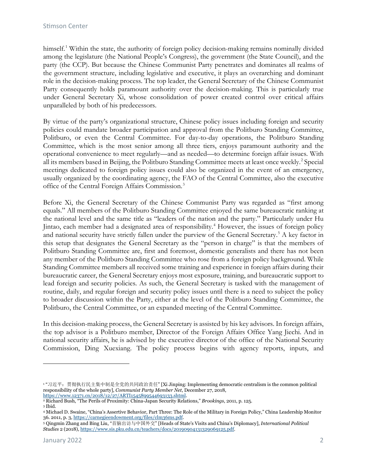himself.<sup>[1](#page-2-0)</sup> Within the state, the authority of foreign policy decision-making remains nominally divided among the legislature (the National People's Congress), the government (the State Council), and the party (the CCP). But because the Chinese Communist Party penetrates and dominates all realms of the government structure, including legislative and executive, it plays an overarching and dominant role in the decision-making process. The top leader, the General Secretary of the Chinese Communist Party consequently holds paramount authority over the decision-making. This is particularly true under General Secretary Xi, whose consolidation of power created control over critical affairs unparalleled by both of his predecessors.

By virtue of the party's organizational structure, Chinese policy issues including foreign and security policies could mandate broader participation and approval from the Politburo Standing Committee, Politburo, or even the Central Committee. For day-to-day operations, the Politburo Standing Committee, which is the most senior among all three tiers, enjoys paramount authority and the operational convenience to meet regularly—and as needed—to determine foreign affair issues. With all its members based in Beijing, the Politburo Standing Committee meets at least once weekly.<sup>[2](#page-2-1)</sup> Special meetings dedicated to foreign policy issues could also be organized in the event of an emergency, usually organized by the coordinating agency, the FAO of the Central Committee, also the executive office of the Central Foreign Affairs Commission.[3](#page-2-2)

Before Xi, the General Secretary of the Chinese Communist Party was regarded as "first among equals." All members of the Politburo Standing Committee enjoyed the same bureaucratic ranking at the national level and the same title as "leaders of the nation and the party." Particularly under Hu Jintao, each member had a designated area of responsibility.[4](#page-2-3) However, the issues of foreign policy and national security have strictly fallen under the purview of the General Secretary.<sup>[5](#page-2-4)</sup> A key factor in this setup that designates the General Secretary as the "person in charge" is that the members of Politburo Standing Committee are, first and foremost, domestic generalists and there has not been any member of the Politburo Standing Committee who rose from a foreign policy background. While Standing Committee members all received some training and experience in foreign affairs during their bureaucratic career, the General Secretary enjoys most exposure, training, and bureaucratic support to lead foreign and security policies. As such, the General Secretary is tasked with the management of routine, daily, and regular foreign and security policy issues until there is a need to subject the policy to broader discussion within the Party, either at the level of the Politburo Standing Committee, the Politburo, the Central Committee, or an expanded meeting of the Central Committee.

In this decision-making process, the General Secretary is assisted by his key advisors. In foreign affairs, the top advisor is a Politburo member, Director of the Foreign Affairs Office Yang Jiechi. And in national security affairs, he is advised by the executive director of the office of the National Security Commission, Ding Xuexiang. The policy process begins with agency reports, inputs, and

<span id="page-2-0"></span><sup>&</sup>lt;sup>1</sup> "习近平: 贯彻执行民主集中制是全党的共同政治责任" [Xi Jinping: Implementing democratic centralism is the common political responsibility of the whole party], *Communist Party Member Net*, December 27, 2018,

<span id="page-2-2"></span><span id="page-2-1"></span><sup>&</sup>lt;sup>2</sup> Richard Bush, "The Perils of Proximity: China-Japan Security Relations," *Brookings*, 2011, p. 125. <sup>3</sup> Ibid.

<span id="page-2-3"></span><sup>4</sup> Michael D. Swaine, "China's Assertive Behavior, Part Three: The Role of the Military in Foreign Policy," China Leadership Monitor 36. 2011, p. 3[, https://carnegieendowment.org/files/clm36ms.pdf.](https://carnegieendowment.org/files/clm36ms.pdf)

<span id="page-2-4"></span><sup>5</sup> Qingmin Zhang and Bing Liu, "首脑出访与中国外交" [Heads of State's Visits and China's Diplomacy], *International Political Studies* 2 (2018)[, https://www.sis.pku.edu.cn/teachers/docs/20190904131329069125.pdf.](https://www.sis.pku.edu.cn/teachers/docs/20190904131329069125.pdf)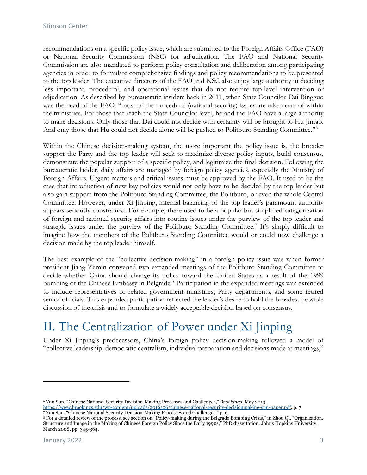recommendations on a specific policy issue, which are submitted to the Foreign Affairs Office (FAO) or National Security Commission (NSC) for adjudication. The FAO and National Security Commission are also mandated to perform policy consultation and deliberation among participating agencies in order to formulate comprehensive findings and policy recommendations to be presented to the top leader. The executive directors of the FAO and NSC also enjoy large authority in deciding less important, procedural, and operational issues that do not require top-level intervention or adjudication. As described by bureaucratic insiders back in 2011, when State Councilor Dai Bingguo was the head of the FAO: "most of the procedural (national security) issues are taken care of within the ministries. For those that reach the State-Councilor level, he and the FAO have a large authority to make decisions. Only those that Dai could not decide with certainty will be brought to Hu Jintao. And only those that Hu could not decide alone will be pushed to Politburo Standing Committee."[6](#page-3-0)

Within the Chinese decision-making system, the more important the policy issue is, the broader support the Party and the top leader will seek to maximize diverse policy inputs, build consensus, demonstrate the popular support of a specific policy, and legitimize the final decision. Following the bureaucratic ladder, daily affairs are managed by foreign policy agencies, especially the Ministry of Foreign Affairs. Urgent matters and critical issues must be approved by the FAO. It used to be the case that introduction of new key policies would not only have to be decided by the top leader but also gain support from the Politburo Standing Committee, the Politburo, or even the whole Central Committee. However, under Xi Jinping, internal balancing of the top leader's paramount authority appears seriously constrained. For example, there used to be a popular but simplified categorization of foreign and national security affairs into routine issues under the purview of the top leader and strategic issues under the purview of the Politburo Standing Committee.<sup>[7](#page-3-1)</sup> It's simply difficult to imagine how the members of the Politburo Standing Committee would or could now challenge a decision made by the top leader himself.

The best example of the "collective decision-making" in a foreign policy issue was when former president Jiang Zemin convened two expanded meetings of the Politburo Standing Committee to decide whether China should change its policy toward the United States as a result of the 1999 bombing of the Chinese Embassy in Belgrade.<sup>[8](#page-3-2)</sup> Participation in the expanded meetings was extended to include representatives of related government ministries, Party departments, and some retired senior officials. This expanded participation reflected the leader's desire to hold the broadest possible discussion of the crisis and to formulate a widely acceptable decision based on consensus.

# II. The Centralization of Power under Xi Jinping

Under Xi Jinping's predecessors, China's foreign policy decision-making followed a model of "collective leadership, democratic centralism, individual preparation and decisions made at meetings,"

<span id="page-3-0"></span><sup>6</sup> Yun Sun, "Chinese National Security Decision-Making Processes and Challenges," *Brookings*, May 2013,

[https://www.brookings.edu/wp-content/uploads/2016/06/chinese-national-security-decisionmaking-sun-paper.pdf,](https://www.brookings.edu/wp-content/uploads/2016/06/chinese-national-security-decisionmaking-sun-paper.pdf) p. 7. <sup>7</sup> Yun Sun, "Chinese National Security Decision-Making Processes and Challenges," p. 6.

<span id="page-3-2"></span><span id="page-3-1"></span><sup>8</sup> For a detailed review of the process, see section on "Policy-making during the Belgrade Bombing Crisis," in Zhou Qi, "Organization, Structure and Image in the Making of Chinese Foreign Policy Since the Early 1990s," PhD dissertation, Johns Hopkins University, March 2008, pp. 345-364.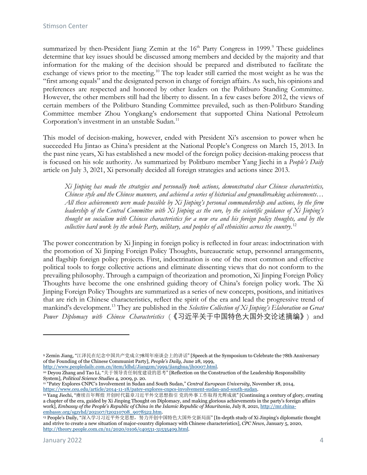summarized by then-President Jiang Zemin at the 16<sup>th</sup> Party Congress in 1[9](#page-4-0)99.<sup>9</sup> These guidelines determine that key issues should be discussed among members and decided by the majority and that information for the making of the decision should be prepared and distributed to facilitate the exchange of views prior to the meeting.<sup>[10](#page-4-1)</sup> The top leader still carried the most weight as he was the "first among equals" and the designated person in charge of foreign affairs. As such, his opinions and preferences are respected and honored by other leaders on the Politburo Standing Committee. However, the other members still had the liberty to dissent. In a few cases before 2012, the views of certain members of the Politburo Standing Committee prevailed, such as then-Politburo Standing Committee member Zhou Yongkang's endorsement that supported China National Petroleum Corporation's investment in an unstable Sudan.<sup>[11](#page-4-2)</sup>

This model of decision-making, however, ended with President Xi's ascension to power when he succeeded Hu Jintao as China's president at the National People's Congress on March 15, 2013. In the past nine years, Xi has established a new model of the foreign policy decision-making process that is focused on his sole authority. As summarized by Politburo member Yang Jiechi in a *People's Daily* article on July 3, 2021, Xi personally decided all foreign strategies and actions since 2013.

*Xi Jinping has made the strategies and personally took actions, demonstrated clear Chinese characteristics, Chinese style and the Chinese manners, and achieved a series of historical and groundbreaking achievements… All these achievements were made possible by Xi Jinping's personal commandership and actions, by the firm leadership of the Central Committee with Xi Jinping as the core, by the scientific guidance of Xi Jinping's thought on socialism with Chinese characteristics for a new era and his foreign policy thoughts, and by the collective hard work by the whole Party, military, and peoples of all ethnicities across the country*. [12](#page-4-3)

The power concentration by Xi Jinping in foreign policy is reflected in four areas: indoctrination with the promotion of Xi Jinping Foreign Policy Thoughts, bureaucratic setup, personnel arrangements, and flagship foreign policy projects. First, indoctrination is one of the most common and effective political tools to forge collective actions and eliminate dissenting views that do not conform to the prevailing philosophy. Through a campaign of theorization and promotion, Xi Jinping Foreign Policy Thoughts have become the one enshrined guiding theory of China's foreign policy work. The Xi Jinping Foreign Policy Thoughts are summarized as a series of new concepts, positions, and initiatives that are rich in Chinese characteristics, reflect the spirit of the era and lead the progressive trend of mankind's development.[13](#page-4-4) They are published in the *Selective Collection of Xi Jinping's Elaboration on Great Power Diplomacy with Chinese Characteristics* (《习近平关于中国特色大国外交论述摘编》) and

<span id="page-4-0"></span><sup>9</sup> Zemin Jiang, "江泽民在纪念中国共产党成立78周年座谈会上的讲话" [Speech at the Symposium to Celebrate the 78th Anniversary of the Founding of the Chinese Communist Party], *People's Daily*, June 28, 1999,

[http://www.peopledaily.com.cn/item/ldhd/Jiangzm/1999/jianghua/jh0007.html.](http://www.peopledaily.com.cn/item/ldhd/Jiangzm/1999/jianghua/jh0007.html)

<span id="page-4-1"></span><sup>10</sup> Deyou Zhang and Tao Li, "关于领导责任制度建设的思考" [Reflection on the Construction of the Leadership Responsibility System], *Political Science Studies* 4, 2009, p. 20.

<span id="page-4-2"></span><sup>&</sup>lt;sup>11</sup> "Patey Explores CNPC's Involvement in Sudan and South Sudan," *Central European University*, November 18, 2014, https://www.ceu.edu/article/2014-11-18/patey-explores-cnpcs-involvement-sudan-and-south-sudan.

<span id="page-4-3"></span> $\overline{\text{harg}}$  Jiechi, "赓续百年辉煌 开创时代篇章习近平外交思想指引 党的外事工作取得光辉成就" [Continuing a century of glory, creating a chapter of the era, guided by Xi Jinping Thought on Diplomacy, and making glorious achievements in the party's foreign affairs work], *Embassy of the People's Republic of China in the Islamic Republic of Mauritania*, July 8, 2021[, http://mr.china](http://mr.china-embassy.org/sgzyhd/202107/t20210708_9078522.htm)[embassy.org/sgzyhd/202107/t20210708\\_9078522.htm.](http://mr.china-embassy.org/sgzyhd/202107/t20210708_9078522.htm)

<span id="page-4-4"></span><sup>&</sup>lt;sup>13</sup> People's Daily, "深入学习习近平外交思想, 努力开创中国特色大国外交新局面" [In-depth study of Xi Jinping's diplomatic thought and strive to create a new situation of major-country diplomacy with Chinese characteristics], *CPC News*, January 5, 2020, [http://theory.people.com.cn/n1/2020/0106/c40531-31535409.html.](http://theory.people.com.cn/n1/2020/0106/c40531-31535409.html)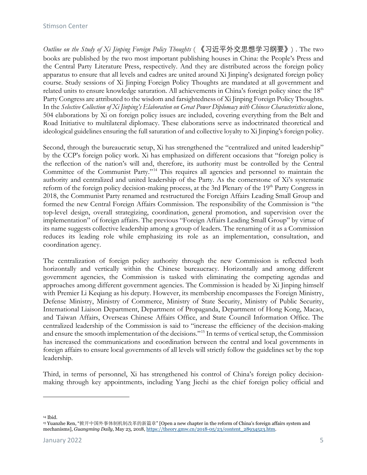#### Stimson Center

*Outline on the Study of Xi Jinping Foreign Policy Thoughts* ( 《习近平外交思想学习纲要》) . The two books are published by the two most important publishing houses in China: the People's Press and the Central Party Literature Press, respectively. And they are distributed across the foreign policy apparatus to ensure that all levels and cadres are united around Xi Jinping's designated foreign policy course. Study sessions of Xi Jinping Foreign Policy Thoughts are mandated at all government and related units to ensure knowledge saturation. All achievements in China's foreign policy since the 18<sup>th</sup> Party Congress are attributed to the wisdom and farsightedness of Xi Jinping Foreign Policy Thoughts. In the *Selective Collection of Xi Jinping's Elaboration on Great Power Diplomacy with Chinese Characteristics* alone, 504 elaborations by Xi on foreign policy issues are included, covering everything from the Belt and Road Initiative to multilateral diplomacy. These elaborations serve as indoctrinated theoretical and ideological guidelines ensuring the full saturation of and collective loyalty to Xi Jinping's foreign policy.

Second, through the bureaucratic setup, Xi has strengthened the "centralized and united leadership" by the CCP's foreign policy work. Xi has emphasized on different occasions that "foreign policy is the reflection of the nation's will and, therefore, its authority must be controlled by the Central Committee of the Communist Party."[14](#page-5-0) This requires all agencies and personnel to maintain the authority and centralized and united leadership of the Party. As the cornerstone of Xi's systematic reform of the foreign policy decision-making process, at the 3rd Plenary of the 19<sup>th</sup> Party Congress in 2018, the Communist Party renamed and restructured the Foreign Affairs Leading Small Group and formed the new Central Foreign Affairs Commission. The responsibility of the Commission is "the top-level design, overall strategizing, coordination, general promotion, and supervision over the implementation" of foreign affairs. The previous "Foreign Affairs Leading Small Group" by virtue of its name suggests collective leadership among a group of leaders. The renaming of it as a Commission reduces its leading role while emphasizing its role as an implementation, consultation, and coordination agency.

The centralization of foreign policy authority through the new Commission is reflected both horizontally and vertically within the Chinese bureaucracy. Horizontally and among different government agencies, the Commission is tasked with eliminating the competing agendas and approaches among different government agencies. The Commission is headed by Xi Jinping himself with Premier Li Keqiang as his deputy. However, its membership encompasses the Foreign Ministry, Defense Ministry, Ministry of Commerce, Ministry of State Security, Ministry of Public Security, International Liaison Department, Department of Propaganda, Department of Hong Kong, Macao, and Taiwan Affairs, Overseas Chinese Affairs Office, and State Council Information Office. The centralized leadership of the Commission is said to "increase the efficiency of the decision-making and ensure the smooth implementation of the decisions."[15](#page-5-1) In terms of vertical setup, the Commission has increased the communications and coordination between the central and local governments in foreign affairs to ensure local governments of all levels will strictly follow the guidelines set by the top leadership.

Third, in terms of personnel, Xi has strengthened his control of China's foreign policy decisionmaking through key appointments, including Yang Jiechi as the chief foreign policy official and

<span id="page-5-0"></span><sup>14</sup> Ibid.

<span id="page-5-1"></span><sup>15</sup> Yuanzhe Ren, "掀开中国外事体制机制改革的新篇章" [Open a new chapter in the reform of China's foreign affairs system and mechanisms], *Guangming Daily*, May 23, 2018[, https://theory.gmw.cn/2018-05/23/content\\_28934523.htm.](https://theory.gmw.cn/2018-05/23/content_28934523.htm)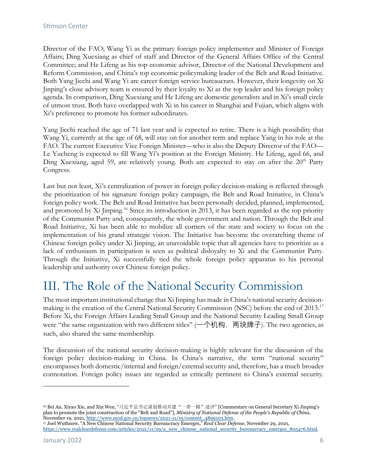Director of the FAO; Wang Yi as the primary foreign policy implementer and Minister of Foreign Affairs; Ding Xuexiang as chief of staff and Director of the General Affairs Office of the Central Committee; and He Lifeng as his top economic advisor, Director of the National Development and Reform Commission, and China's top economic policymaking leader of the Belt and Road Initiative. Both Yang Jiechi and Wang Yi are career foreign service bureaucrats. However, their longevity on Xi Jinping's close advisory team is ensured by their loyalty to Xi as the top leader and his foreign policy agenda. In comparison, Ding Xuexiang and He Lifeng are domestic generalists and in Xi's small circle of utmost trust. Both have overlapped with Xi in his career in Shanghai and Fujian, which aligns with Xi's preference to promote his former subordinates.

Yang Jiechi reached the age of 71 last year and is expected to retire. There is a high possibility that Wang Yi, currently at the age of 68, will stay on for another term and replace Yang in his role at the FAO. The current Executive Vice Foreign Minister—who is also the Deputy Director of the FAO— Le Yucheng is expected to fill Wang Yi's position at the Foreign Ministry. He Lifeng, aged 66, and Ding Xuexiang, aged 59, are relatively young. Both are expected to stay on after the  $20<sup>th</sup>$  Party Congress.

Last but not least, Xi's centralization of power in foreign policy decision-making is reflected through the prioritization of his signature foreign policy campaign, the Belt and Road Initiative, in China's foreign policy work. The Belt and Road Initiative has been personally decided, planned, implemented, and promoted by Xi Jinping.<sup>[16](#page-6-0)</sup> Since its introduction in 2013, it has been regarded as the top priority of the Communist Party and, consequently, the whole government and nation. Through the Belt and Road Initiative, Xi has been able to mobilize all corners of the state and society to focus on the implementation of his grand strategic vision. The Initiative has become the overarching theme of Chinese foreign policy under Xi Jinping, an unavoidable topic that all agencies have to prioritize as a lack of enthusiasm in participation is seen as political disloyalty to Xi and the Communist Party. Through the Initiative, Xi successfully tied the whole foreign policy apparatus to his personal leadership and authority over Chinese foreign policy.

### III. The Role of the National Security Commission

The most important institutional change that Xi Jinping has made in China's national security decision-making is the creation of the Central National Security Commission (NSC) before the end of 2013.<sup>[17](#page-6-1)</sup> Before Xi, the Foreign Affairs Leading Small Group and the National Security Leading Small Group were "the same organization with two different titles" (一个机构, 两块牌子). The two agencies, as such, also shared the same membership.

The discussion of the national security decision-making is highly relevant for the discussion of the foreign policy decision-making in China. In China's narrative, the term "national security" encompasses both domestic/internal and foreign/external security and, therefore, has a much broader connotation. Foreign policy issues are regarded as critically pertinent to China's external security.

 $\overline{a}$ 

<span id="page-6-0"></span><sup>&</sup>lt;sup>16</sup> Bei An, Xiyao Xie, and Xin Wen, "习近平总书记谋划推动共建"一带一路"述评" [Commentary on General Secretary Xi Jinping's plan to promote the joint construction of the "Belt and Road"], *Ministry of National Defense of the People's Republic of China*, November 19, 2021[, http://www.mod.gov.cn/topnews/2021-11/19/content\\_4899103.htm.](http://www.mod.gov.cn/topnews/2021-11/19/content_4899103.htm)

<span id="page-6-1"></span><sup>17</sup> Joel Wuthnow, "A New Chinese National Security Bureaucracy Emerges," *Real Clear Defense*, November 29, 2021, [https://www.realcleardefense.com/articles/2021/11/29/a\\_new\\_chinese\\_national\\_security\\_bureaucracy\\_emerges\\_805476.html.](https://www.realcleardefense.com/articles/2021/11/29/a_new_chinese_national_security_bureaucracy_emerges_805476.html)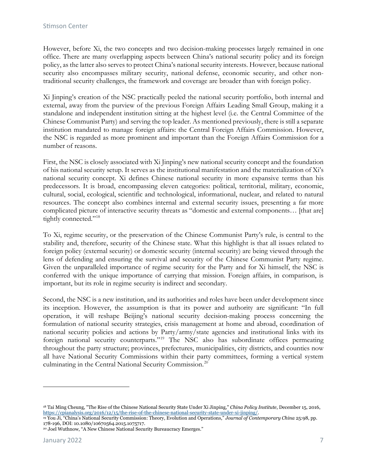However, before Xi, the two concepts and two decision-making processes largely remained in one office. There are many overlapping aspects between China's national security policy and its foreign policy, as the latter also serves to protect China's national security interests. However, because national security also encompasses military security, national defense, economic security, and other nontraditional security challenges, the framework and coverage are broader than with foreign policy.

Xi Jinping's creation of the NSC practically peeled the national security portfolio, both internal and external, away from the purview of the previous Foreign Affairs Leading Small Group, making it a standalone and independent institution sitting at the highest level (i.e. the Central Committee of the Chinese Communist Party) and serving the top leader. As mentioned previously, there is still a separate institution mandated to manage foreign affairs: the Central Foreign Affairs Commission. However, the NSC is regarded as more prominent and important than the Foreign Affairs Commission for a number of reasons.

First, the NSC is closely associated with Xi Jinping's new national security concept and the foundation of his national security setup. It serves as the institutional manifestation and the materialization of Xi's national security concept. Xi defines Chinese national security in more expansive terms than his predecessors. It is broad, encompassing eleven categories: political, territorial, military, economic, cultural, social, ecological, scientific and technological, informational, nuclear, and related to natural resources. The concept also combines internal and external security issues, presenting a far more complicated picture of interactive security threats as "domestic and external components… [that are] tightly connected."<sup>[18](#page-7-0)</sup>

To Xi, regime security, or the preservation of the Chinese Communist Party's rule, is central to the stability and, therefore, security of the Chinese state. What this highlight is that all issues related to foreign policy (external security) or domestic security (internal security) are being viewed through the lens of defending and ensuring the survival and security of the Chinese Communist Party regime. Given the unparalleled importance of regime security for the Party and for Xi himself, the NSC is conferred with the unique importance of carrying that mission. Foreign affairs, in comparison, is important, but its role in regime security is indirect and secondary.

Second, the NSC is a new institution, and its authorities and roles have been under development since its inception. However, the assumption is that its power and authority are significant: "In full operation, it will reshape Beijing's national security decision-making process concerning the formulation of national security strategies, crisis management at home and abroad, coordination of national security policies and actions by Party/army/state agencies and institutional links with its foreign national security counterparts."[19](#page-7-1) The NSC also has subordinate offices permeating throughout the party structure; provinces, prefectures, municipalities, city districts, and counties now all have National Security Commissions within their party committees, forming a vertical system culminating in the Central National Security Commission.[20](#page-7-2)

<span id="page-7-0"></span><sup>18</sup> Tai Ming Cheung, "The Rise of the Chinese National Security State Under Xi Jinping," *China Policy Institute*, December 15, 2016,

<span id="page-7-1"></span>[https://cpianalysis.org/2016/12/15/the-rise-of-the-chinese-national-security-state-under-xi-jinping/.](https://cpianalysis.org/2016/12/15/the-rise-of-the-chinese-national-security-state-under-xi-jinping/)<br><sup>19</sup> You Ji, "China's National Security Commission: Theory, Evolution and Operations," Journal of Contemporary China 25:

<span id="page-7-2"></span><sup>&</sup>lt;sup>20</sup> Joel Wuthnow, "A New Chinese National Security Bureaucracy Emerges."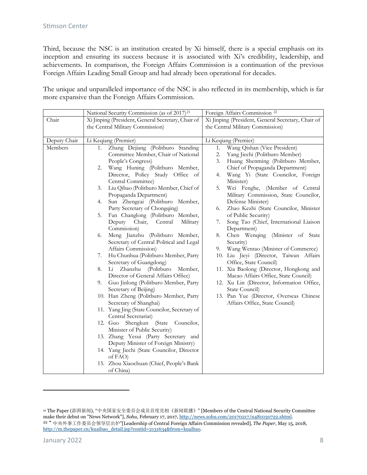Third, because the NSC is an institution created by Xi himself, there is a special emphasis on its inception and ensuring its success because it is associated with Xi's credibility, leadership, and achievements. In comparison, the Foreign Affairs Commission is a continuation of the previous Foreign Affairs Leading Small Group and had already been operational for decades.

The unique and unparalleled importance of the NSC is also reflected in its membership, which is far more expansive than the Foreign Affairs Commission.

|              | National Security Commission (as of 2017) <sup>21</sup>                                                                                                                                                                                               | Foreign Affairs Commission <sup>22</sup>                                                                                                                                                                                                                 |
|--------------|-------------------------------------------------------------------------------------------------------------------------------------------------------------------------------------------------------------------------------------------------------|----------------------------------------------------------------------------------------------------------------------------------------------------------------------------------------------------------------------------------------------------------|
| Chair        | Xi Jinping (President, General Secretary, Chair of                                                                                                                                                                                                    | Xi Jinping (President, General Secretary, Chair of                                                                                                                                                                                                       |
|              | the Central Military Commission)                                                                                                                                                                                                                      | the Central Military Commission)                                                                                                                                                                                                                         |
| Deputy Chair | Li Keqiang (Premier)                                                                                                                                                                                                                                  | Li Keqiang (Premier)                                                                                                                                                                                                                                     |
| Members      | Zhang Dejiang (Politburo Standing<br>1.<br>Committee Member, Chair of National<br>People's Congress)<br>Wang Huning (Politburo Member,<br>2.<br>Director, Policy Study Office of<br>Central Committee)<br>Liu Qibao (Politburo Member, Chief of<br>3. | Wang Qishan (Vice President)<br>1.<br>Yang Jiechi (Politburo Member)<br>2.<br>Huang Shenming (Politburo Member,<br>3.<br>Chief of Propaganda Department)<br>Wang Yi (State Councilor, Foreign<br>4.<br>Minister)<br>Wei Fenghe, (Member of Central<br>5. |
|              | Propaganda Department)<br>Sun Zhengcai (Politburo Member,<br>4.<br>Party Secretary of Chongqing)                                                                                                                                                      | Military Commission, State Councilor,<br>Defense Minister)<br>Zhao Kezhi (State Councilor, Minister<br>6.                                                                                                                                                |
|              | Fan Changlong (Politburo Member,<br>5.<br>Deputy Chair, Central<br>Military<br>Commission)                                                                                                                                                            | of Public Security)<br>Song Tao (Chief, International Liaison<br>7.<br>Department)                                                                                                                                                                       |
|              | Meng Jianzhu (Politburo Member,<br>6.<br>Secretary of Central Political and Legal<br>Affairs Commission)                                                                                                                                              | Chen Wenqing (Minister of State<br>8.<br>Security)<br>Wang Wentao (Minister of Commerce)<br>9.                                                                                                                                                           |
|              | Hu Chunhua (Politburo Member, Party<br>7.<br>Secretary of Guangdong)                                                                                                                                                                                  | 10. Liu Jieyi (Director, Taiwan Affairs<br>Office, State Council)                                                                                                                                                                                        |
|              | Li Zhanzhu (Politburo<br>Member,<br>8.<br>Director of General Affairs Office)                                                                                                                                                                         | 11. Xia Baolong (Director, Hongkong and<br>Macao Affairs Office, State Council)                                                                                                                                                                          |
|              | Guo Jinlong (Politburo Member, Party<br>9.<br>Secretary of Beijing)                                                                                                                                                                                   | 12. Xu Lin (Director, Information Office,<br>State Council)                                                                                                                                                                                              |
|              | 10. Han Zheng (Politburo Member, Party<br>Secretary of Shanghai)                                                                                                                                                                                      | 13. Pan Yue (Director, Overseas Chinese<br>Affairs Office, State Council)                                                                                                                                                                                |
|              | 11. Yang Jing (State Councilor, Secretary of<br>Central Secretariat)                                                                                                                                                                                  |                                                                                                                                                                                                                                                          |
|              | Shengkun (State Councilor,<br>12. Guo<br>Minister of Public Security)                                                                                                                                                                                 |                                                                                                                                                                                                                                                          |
|              | 13. Zhang Yesui (Party Secretary and<br>Deputy Minister of Foreign Ministry)                                                                                                                                                                          |                                                                                                                                                                                                                                                          |
|              | 14. Yang Jiechi (State Councilor, Director<br>of FAO)                                                                                                                                                                                                 |                                                                                                                                                                                                                                                          |
|              | 15. Zhou Xiaochuan (Chief, People's Bank<br>of China)                                                                                                                                                                                                 |                                                                                                                                                                                                                                                          |

 $\overline{a}$ 

<span id="page-8-1"></span><span id="page-8-0"></span><sup>21</sup> The Paper (澎湃新闻), "中央国家安全委员会成员首度亮相《新闻联播》" [Members of the Central National Security Committee make their debut on "News Network"], *Sohu*, February 17, 2017[, http://news.sohu.com/20170217/n481030722.shtml.](http://news.sohu.com/20170217/n481030722.shtml) <sup>22</sup> " 中央外事工作委员会领导层出炉"[Leadership of Central Foreign Affairs Commission revealed], *The Paper*, May 15, 2018, [http://m.thepaper.cn/kuaibao\\_detail.jsp?contid=2131634&from=kuaibao.](http://m.thepaper.cn/kuaibao_detail.jsp?contid=2131634&from=kuaibao)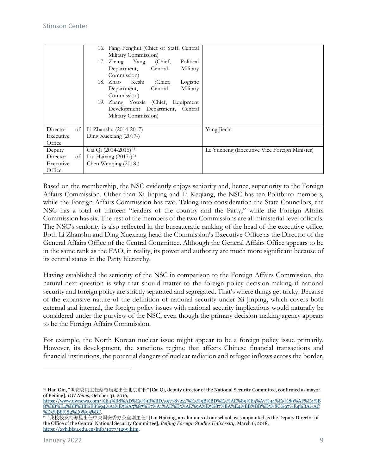|                                                 | 16. Fang Fenghui (Chief of Staff, Central<br>Military Commission)                                                                                                                           |                                              |
|-------------------------------------------------|---------------------------------------------------------------------------------------------------------------------------------------------------------------------------------------------|----------------------------------------------|
|                                                 | Political<br>17. Zhang Yang<br>(Chief,<br>Military<br>Central<br>Department,<br>Commission)                                                                                                 |                                              |
|                                                 | 18. Zhao Keshi<br>(Chief,<br>Logistic<br>Military<br>Central<br>Department,<br>Commission)<br>19. Zhang Youxia (Chief, Equipment<br>Development Department, Central<br>Military Commission) |                                              |
| Director<br>of                                  | Li Zhanshu (2014-2017)                                                                                                                                                                      | Yang Jiechi                                  |
| Executive<br>Office                             | Ding Xuexiang (2017-)                                                                                                                                                                       |                                              |
| Deputy<br>Director<br>of<br>Executive<br>Office | Cai Qi (2014-2016) <sup>23</sup><br>Liu Haixing $(2017-)$ <sup>24</sup><br>Chen Wenqing (2018-)                                                                                             | Le Yucheng (Executive Vice Foreign Minister) |

Based on the membership, the NSC evidently enjoys seniority and, hence, superiority to the Foreign Affairs Commission. Other than Xi Jinping and Li Keqiang, the NSC has ten Politburo members, while the Foreign Affairs Commission has two. Taking into consideration the State Councilors, the NSC has a total of thirteen "leaders of the country and the Party," while the Foreign Affairs Commission has six. The rest of the members of the two Commissions are all ministerial-level officials. The NSC's seniority is also reflected in the bureaucratic ranking of the head of the executive office. Both Li Zhanshu and Ding Xuexiang head the Commission's Executive Office as the Director of the General Affairs Office of the Central Committee. Although the General Affairs Office appears to be in the same rank as the FAO, in reality, its power and authority are much more significant because of its central status in the Party hierarchy.

Having established the seniority of the NSC in comparison to the Foreign Affairs Commission, the natural next question is why that should matter to the foreign policy decision-making if national security and foreign policy are strictly separated and segregated. That's where things get tricky. Because of the expansive nature of the definition of national security under Xi Jinping, which covers both external and internal, the foreign policy issues with national security implications would naturally be considered under the purview of the NSC, even though the primary decision-making agency appears to be the Foreign Affairs Commission.

For example, the North Korean nuclear issue might appear to be a foreign policy issue primarily. However, its development, the sanctions regime that affects Chinese financial transactions and financial institutions, the potential dangers of nuclear radiation and refugee inflows across the border,

<span id="page-9-0"></span><sup>23</sup> Han Qin, "国安委副主任蔡奇确定出任北京市长" [Cai Qi, deputy director of the National Security Committee, confirmed as mayor of Beijing], *DW News*, October 31, 2016,

[https://www.dwnews.com/%E4%B8%AD%E5%9B%BD/59778722/%E5%9B%BD%E5%AE%89%E5%A7%94%E5%89%AF%E4%B](https://www.dwnews.com/%E4%B8%AD%E5%9B%BD/59778722/%E5%9B%BD%E5%AE%89%E5%A7%94%E5%89%AF%E4%B8%BB%E4%BB%BB%E8%94%A1%E5%A5%87%E7%A1%AE%E5%AE%9A%E5%87%BA%E4%BB%BB%E5%8C%97%E4%BA%AC%E5%B8%82%E9%95%BF) [8%BB%E4%BB%BB%E8%94%A1%E5%A5%87%E7%A1%AE%E5%AE%9A%E5%87%BA%E4%BB%BB%E5%8C%97%E4%BA%AC](https://www.dwnews.com/%E4%B8%AD%E5%9B%BD/59778722/%E5%9B%BD%E5%AE%89%E5%A7%94%E5%89%AF%E4%B8%BB%E4%BB%BB%E8%94%A1%E5%A5%87%E7%A1%AE%E5%AE%9A%E5%87%BA%E4%BB%BB%E5%8C%97%E4%BA%AC%E5%B8%82%E9%95%BF) [%E5%B8%82%E9%95%BF.](https://www.dwnews.com/%E4%B8%AD%E5%9B%BD/59778722/%E5%9B%BD%E5%AE%89%E5%A7%94%E5%89%AF%E4%B8%BB%E4%BB%BB%E8%94%A1%E5%A5%87%E7%A1%AE%E5%AE%9A%E5%87%BA%E4%BB%BB%E5%8C%97%E4%BA%AC%E5%B8%82%E9%95%BF)

<span id="page-9-1"></span><sup>24</sup> "我校校友刘海星出任中央国安委办公室副主任" [Liu Haixing, an alumnus of our school, was appointed as the Deputy Director of the Office of the Central National Security Committee], *Beijing Foreign Studies University*, March 6, 2018, [https://xyh.bfsu.edu.cn/info/1077/1299.htm.](https://xyh.bfsu.edu.cn/info/1077/1299.htm)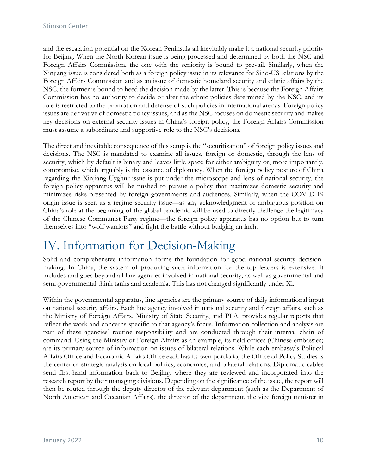and the escalation potential on the Korean Peninsula all inevitably make it a national security priority for Beijing. When the North Korean issue is being processed and determined by both the NSC and Foreign Affairs Commission, the one with the seniority is bound to prevail. Similarly, when the Xinjiang issue is considered both as a foreign policy issue in its relevance for Sino-US relations by the Foreign Affairs Commission and as an issue of domestic homeland security and ethnic affairs by the NSC, the former is bound to heed the decision made by the latter. This is because the Foreign Affairs Commission has no authority to decide or alter the ethnic policies determined by the NSC, and its role is restricted to the promotion and defense of such policies in international arenas. Foreign policy issues are derivative of domestic policy issues, and as the NSC focuses on domestic security and makes key decisions on external security issues in China's foreign policy, the Foreign Affairs Commission must assume a subordinate and supportive role to the NSC's decisions.

The direct and inevitable consequence of this setup is the "securitization" of foreign policy issues and decisions. The NSC is mandated to examine all issues, foreign or domestic, through the lens of security, which by default is binary and leaves little space for either ambiguity or, more importantly, compromise, which arguably is the essence of diplomacy. When the foreign policy posture of China regarding the Xinjiang Uyghur issue is put under the microscope and lens of national security, the foreign policy apparatus will be pushed to pursue a policy that maximizes domestic security and minimizes risks presented by foreign governments and audiences. Similarly, when the COVID-19 origin issue is seen as a regime security issue—as any acknowledgment or ambiguous position on China's role at the beginning of the global pandemic will be used to directly challenge the legitimacy of the Chinese Communist Party regime—the foreign policy apparatus has no option but to turn themselves into "wolf warriors" and fight the battle without budging an inch.

### IV. Information for Decision-Making

Solid and comprehensive information forms the foundation for good national security decisionmaking. In China, the system of producing such information for the top leaders is extensive. It includes and goes beyond all line agencies involved in national security, as well as governmental and semi-governmental think tanks and academia. This has not changed significantly under Xi.

Within the governmental apparatus, line agencies are the primary source of daily informational input on national security affairs. Each line agency involved in national security and foreign affairs, such as the Ministry of Foreign Affairs, Ministry of State Security, and PLA, provides regular reports that reflect the work and concerns specific to that agency's focus. Information collection and analysis are part of these agencies' routine responsibility and are conducted through their internal chain of command. Using the Ministry of Foreign Affairs as an example, its field offices (Chinese embassies) are its primary source of information on issues of bilateral relations. While each embassy's Political Affairs Office and Economic Affairs Office each has its own portfolio, the Office of Policy Studies is the center of strategic analysis on local politics, economics, and bilateral relations. Diplomatic cables send first-hand information back to Beijing, where they are reviewed and incorporated into the research report by their managing divisions. Depending on the significance of the issue, the report will then be routed through the deputy director of the relevant department (such as the Department of North American and Oceanian Affairs), the director of the department, the vice foreign minister in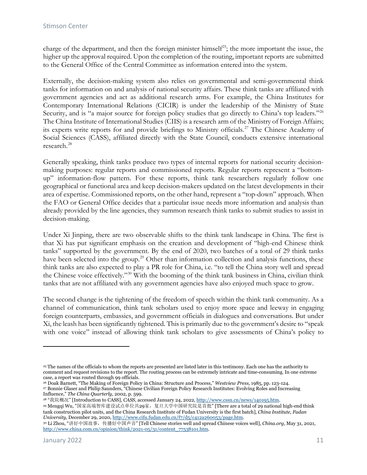charge of the department, and then the foreign minister himself<sup>25</sup>; the more important the issue, the higher up the approval required. Upon the completion of the routing, important reports are submitted to the General Office of the Central Committee as information entered into the system.

Externally, the decision-making system also relies on governmental and semi-governmental think tanks for information on and analysis of national security affairs. These think tanks are affiliated with government agencies and act as additional research arms. For example, the China Institutes for Contemporary International Relations (CICIR) is under the leadership of the Ministry of State Security, and is "a major source for foreign policy studies that go directly to China's top leaders."<sup>[26](#page-11-1)</sup> The China Institute of International Studies (CIIS) is a research arm of the Ministry of Foreign Affairs; its experts write reports for and provide briefings to Ministry officials.<sup>[27](#page-11-2)</sup> The Chinese Academy of Social Sciences (CASS), affiliated directly with the State Council, conducts extensive international research.[28](#page-11-3)

Generally speaking, think tanks produce two types of internal reports for national security decisionmaking purposes: regular reports and commissioned reports. Regular reports represent a "bottomup" information-flow pattern. For these reports, think tank researchers regularly follow one geographical or functional area and keep decision-makers updated on the latest developments in their area of expertise. Commissioned reports, on the other hand, represent a "top-down" approach. When the FAO or General Office decides that a particular issue needs more information and analysis than already provided by the line agencies, they summon research think tanks to submit studies to assist in decision-making.

Under Xi Jinping, there are two observable shifts to the think tank landscape in China. The first is that Xi has put significant emphasis on the creation and development of "high-end Chinese think tanks" supported by the government. By the end of 2020, two batches of a total of 29 think tanks have been selected into the group.<sup>[29](#page-11-4)</sup> Other than information collection and analysis functions, these think tanks are also expected to play a PR role for China, i.e. "to tell the China story well and spread the Chinese voice effectively."[30](#page-11-5) With the booming of the think tank business in China, civilian think tanks that are not affiliated with any government agencies have also enjoyed much space to grow.

The second change is the tightening of the freedom of speech within the think tank community. As a channel of communication, think tank scholars used to enjoy more space and leeway in engaging foreign counterparts, embassies, and government officials in dialogues and conversations. But under Xi, the leash has been significantly tightened. This is primarily due to the government's desire to "speak with one voice" instead of allowing think tank scholars to give assessments of China's policy to

<span id="page-11-3"></span><sup>28</sup> "我院概况" [Introduction to CASS], *CASS*, accessed January 24, 2022, [http://www.cssn.cn/news/140195.htm.](http://www.cssn.cn/news/140195.htm)

<span id="page-11-4"></span><sup>29</sup> Mengqi Wu, "国家高端智库建设试点单位共29家,复旦大学中国研究院是首批" [There are a total of 29 national high-end think tank construction pilot units, and the China Research Institute of Fudan University is the first batch], *China Institute, Fudan University*, December 29, 2020[, http://www.cifu.fudan.edu.cn/f7/d5/c412a260053/page.htm.](http://www.cifu.fudan.edu.cn/f7/d5/c412a260053/page.htm)

<span id="page-11-0"></span><sup>25</sup> The names of the officials to whom the reports are presented are listed later in this testimony. Each one has the authority to comment and request revisions to the report. The routing process can be extremely intricate and time-consuming. In one extreme case, a report was routed through 99 officials.

<span id="page-11-2"></span><span id="page-11-1"></span><sup>26</sup> Doak Barnett, "The Making of Foreign Policy in China: Structure and Process," *Westview Press*, 1985, pp. 123-124. <sup>27</sup> Bonnie Glaser and Philip Saunders, "Chinese Civilian Foreign Policy Research Institutes: Evolving Roles and Increasing Influence," *The China Quarterly*, 2002, p. 599.

<span id="page-11-5"></span><sup>30</sup> Li Zhou, "讲好中国故事,传播好中国声音" [Tell Chinese stories well and spread Chinese voices well], *China.org*, May 31, 2021, [http://www.china.com.cn/opinion/think/2021-05/31/content\\_77538101.htm.](http://www.china.com.cn/opinion/think/2021-05/31/content_77538101.htm)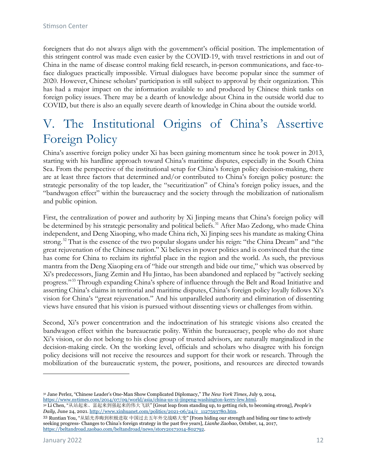foreigners that do not always align with the government's official position. The implementation of this stringent control was made even easier by the COVID-19, with travel restrictions in and out of China in the name of disease control making field research, in-person communications, and face-toface dialogues practically impossible. Virtual dialogues have become popular since the summer of 2020. However, Chinese scholars' participation is still subject to approval by their organization. This has had a major impact on the information available to and produced by Chinese think tanks on foreign policy issues. There may be a dearth of knowledge about China in the outside world due to COVID, but there is also an equally severe dearth of knowledge in China about the outside world.

# V. The Institutional Origins of China's Assertive Foreign Policy

China's assertive foreign policy under Xi has been gaining momentum since he took power in 2013, starting with his hardline approach toward China's maritime disputes, especially in the South China Sea. From the perspective of the institutional setup for China's foreign policy decision-making, there are at least three factors that determined and/or contributed to China's foreign policy posture: the strategic personality of the top leader, the "securitization" of China's foreign policy issues, and the "bandwagon effect" within the bureaucracy and the society through the mobilization of nationalism and public opinion.

First, the centralization of power and authority by Xi Jinping means that China's foreign policy will be determined by his strategic personality and political beliefs.<sup>[31](#page-12-0)</sup> After Mao Zedong, who made China independent, and Deng Xiaoping, who made China rich, Xi Jinping sees his mandate as making China strong.<sup>[32](#page-12-1)</sup> That is the essence of the two popular slogans under his reign: "the China Dream" and "the great rejuvenation of the Chinese nation." Xi believes in power politics and is convinced that the time has come for China to reclaim its rightful place in the region and the world. As such, the previous mantra from the Deng Xiaoping era of "hide our strength and bide our time," which was observed by Xi's predecessors, Jiang Zemin and Hu Jintao, has been abandoned and replaced by "actively seeking progress."[33](#page-12-2) Through expanding China's sphere of influence through the Belt and Road Initiative and asserting China's claims in territorial and maritime disputes, China's foreign policy loyally follows Xi's vision for China's "great rejuvenation." And his unparalleled authority and elimination of dissenting views have ensured that his vision is pursued without dissenting views or challenges from within.

Second, Xi's power concentration and the indoctrination of his strategic visions also created the bandwagon effect within the bureaucratic polity. Within the bureaucracy, people who do not share Xi's vision, or do not belong to his close group of trusted advisors, are naturally marginalized in the decision-making circle. On the working level, officials and scholars who disagree with his foreign policy decisions will not receive the resources and support for their work or research. Through the mobilization of the bureaucratic system, the power, positions, and resources are directed towards

<span id="page-12-1"></span><span id="page-12-0"></span>

<sup>31</sup> Jane Perlez, "Chinese Leader's One-Man Show Complicated Diplomacy," *The New York Times,* July 9, 2014,

<sup>&</sup>lt;sup>32</sup> Li Chen, "从站起来、富起来到强起来的伟大飞跃" [Great leap from standing up, to getting rich, to becoming strong], *People's Daily*, June 24, 2021[. http://www.xinhuanet.com/politics/2021-06/24/c\\_1127593780.htm.](http://www.xinhuanet.com/politics/2021-06/24/c_1127593780.htm)

<span id="page-12-2"></span><sup>33</sup> Runtian You, "从韬光养晦到积极进取 中国过去五年外交战略大变" [From hiding our strength and biding our time to actively seeking progress- Changes to China's foreign strategy in the past five years], *Lianhe Zaobao*, October, 14, 2017, [https://beltandroad.zaobao.com/beltandroad/news/story20171014-802792.](https://beltandroad.zaobao.com/beltandroad/news/story20171014-802792)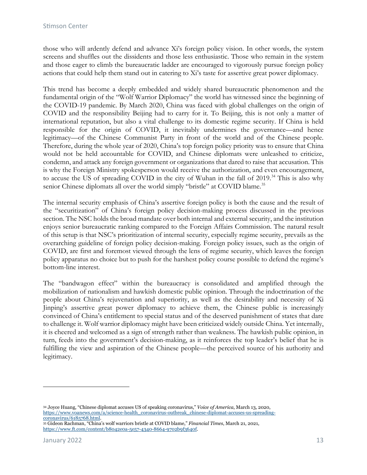those who will ardently defend and advance Xi's foreign policy vision. In other words, the system screens and shuffles out the dissidents and those less enthusiastic. Those who remain in the system and those eager to climb the bureaucratic ladder are encouraged to vigorously pursue foreign policy actions that could help them stand out in catering to Xi's taste for assertive great power diplomacy.

This trend has become a deeply embedded and widely shared bureaucratic phenomenon and the fundamental origin of the "Wolf Warrior Diplomacy" the world has witnessed since the beginning of the COVID-19 pandemic. By March 2020, China was faced with global challenges on the origin of COVID and the responsibility Beijing had to carry for it. To Beijing, this is not only a matter of international reputation, but also a vital challenge to its domestic regime security. If China is held responsible for the origin of COVID, it inevitably undermines the governance—and hence legitimacy—of the Chinese Communist Party in front of the world and of the Chinese people. Therefore, during the whole year of 2020, China's top foreign policy priority was to ensure that China would not be held accountable for COVID, and Chinese diplomats were unleashed to criticize, condemn, and attack any foreign government or organizations that dared to raise that accusation. This is why the Foreign Ministry spokesperson would receive the authorization, and even encouragement, to accuse the US of spreading COVID in the city of Wuhan in the fall of 2019.<sup>[34](#page-13-0)</sup> This is also why senior Chinese diplomats all over the world simply "bristle" at COVID blame.<sup>[35](#page-13-1)</sup>

The internal security emphasis of China's assertive foreign policy is both the cause and the result of the "securitization" of China's foreign policy decision-making process discussed in the previous section. The NSC holds the broad mandate over both internal and external security, and the institution enjoys senior bureaucratic ranking compared to the Foreign Affairs Commission. The natural result of this setup is that NSC's prioritization of internal security, especially regime security, prevails as the overarching guideline of foreign policy decision-making. Foreign policy issues, such as the origin of COVID, are first and foremost viewed through the lens of regime security, which leaves the foreign policy apparatus no choice but to push for the harshest policy course possible to defend the regime's bottom-line interest.

The "bandwagon effect" within the bureaucracy is consolidated and amplified through the mobilization of nationalism and hawkish domestic public opinion. Through the indoctrination of the people about China's rejuvenation and superiority, as well as the desirability and necessity of Xi Jinping's assertive great power diplomacy to achieve them, the Chinese public is increasingly convinced of China's entitlement to special status and of the deserved punishment of states that dare to challenge it. Wolf warrior diplomacy might have been criticized widely outside China. Yet internally, it is cheered and welcomed as a sign of strength rather than weakness. The hawkish public opinion, in turn, feeds into the government's decision-making, as it reinforces the top leader's belief that he is fulfilling the view and aspiration of the Chinese people—the perceived source of his authority and legitimacy.

<span id="page-13-0"></span><sup>34</sup> Joyce Huang, "Chinese diplomat accuses US of speaking coronavirus," *Voice of America*, March 13, 2020, [https://www.voanews.com/a/science-health\\_coronavirus-outbreak\\_chinese-diplomat-accuses-us-spreading-](https://www.voanews.com/a/science-health_coronavirus-outbreak_chinese-diplomat-accuses-us-spreading-coronavirus/6185768.html)

<span id="page-13-1"></span><sup>&</sup>lt;sup>35</sup> Gideon Rachman, "China's wolf warriors bristle at COVID blame," *Financial Times*, March 21, 2021, [https://www.ft.com/content/b8042e0a-5e57-4340-8664-9702b9f3640f.](https://www.ft.com/content/b8042e0a-5e57-4340-8664-9702b9f3640f)